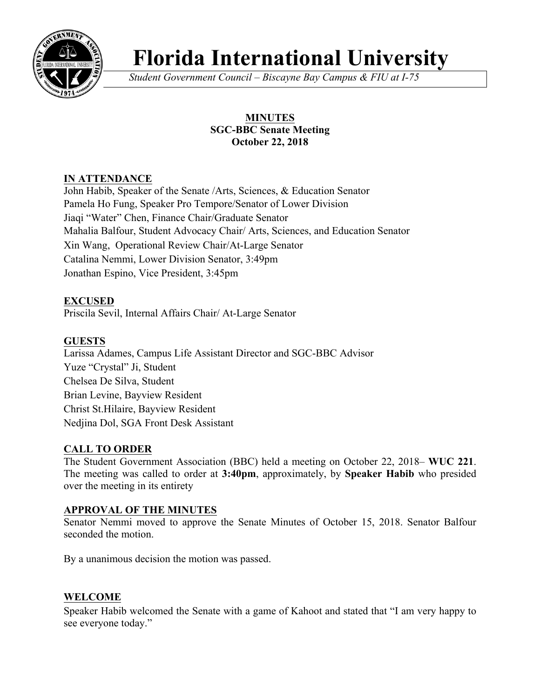

# **Florida International University**

*Student Government Council – Biscayne Bay Campus & FIU at I-75*

## **MINUTES SGC-BBC Senate Meeting October 22, 2018**

## **IN ATTENDANCE**

John Habib, Speaker of the Senate /Arts, Sciences, & Education Senator Pamela Ho Fung, Speaker Pro Tempore/Senator of Lower Division Jiaqi "Water" Chen, Finance Chair/Graduate Senator Mahalia Balfour, Student Advocacy Chair/ Arts, Sciences, and Education Senator Xin Wang, Operational Review Chair/At-Large Senator Catalina Nemmi, Lower Division Senator, 3:49pm Jonathan Espino, Vice President, 3:45pm

## **EXCUSED**

Priscila Sevil, Internal Affairs Chair/ At-Large Senator

## **GUESTS**

Larissa Adames, Campus Life Assistant Director and SGC-BBC Advisor Yuze "Crystal" Ji, Student Chelsea De Silva, Student Brian Levine, Bayview Resident Christ St.Hilaire, Bayview Resident Nedjina Dol, SGA Front Desk Assistant

## **CALL TO ORDER**

The Student Government Association (BBC) held a meeting on October 22, 2018– **WUC 221**. The meeting was called to order at **3:40pm**, approximately, by **Speaker Habib** who presided over the meeting in its entirety

## **APPROVAL OF THE MINUTES**

Senator Nemmi moved to approve the Senate Minutes of October 15, 2018. Senator Balfour seconded the motion.

By a unanimous decision the motion was passed.

## **WELCOME**

Speaker Habib welcomed the Senate with a game of Kahoot and stated that "I am very happy to see everyone today."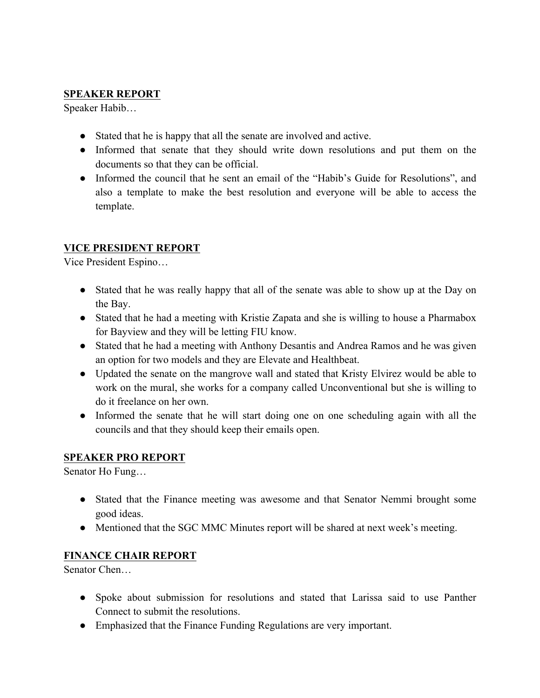#### **SPEAKER REPORT**

Speaker Habib…

- Stated that he is happy that all the senate are involved and active.
- Informed that senate that they should write down resolutions and put them on the documents so that they can be official.
- Informed the council that he sent an email of the "Habib's Guide for Resolutions", and also a template to make the best resolution and everyone will be able to access the template.

## **VICE PRESIDENT REPORT**

Vice President Espino…

- Stated that he was really happy that all of the senate was able to show up at the Day on the Bay.
- Stated that he had a meeting with Kristie Zapata and she is willing to house a Pharmabox for Bayview and they will be letting FIU know.
- Stated that he had a meeting with Anthony Desantis and Andrea Ramos and he was given an option for two models and they are Elevate and Healthbeat.
- Updated the senate on the mangrove wall and stated that Kristy Elvirez would be able to work on the mural, she works for a company called Unconventional but she is willing to do it freelance on her own.
- Informed the senate that he will start doing one on one scheduling again with all the councils and that they should keep their emails open.

## **SPEAKER PRO REPORT**

Senator Ho Fung…

- Stated that the Finance meeting was awesome and that Senator Nemmi brought some good ideas.
- Mentioned that the SGC MMC Minutes report will be shared at next week's meeting.

## **FINANCE CHAIR REPORT**

Senator Chen…

- Spoke about submission for resolutions and stated that Larissa said to use Panther Connect to submit the resolutions.
- Emphasized that the Finance Funding Regulations are very important.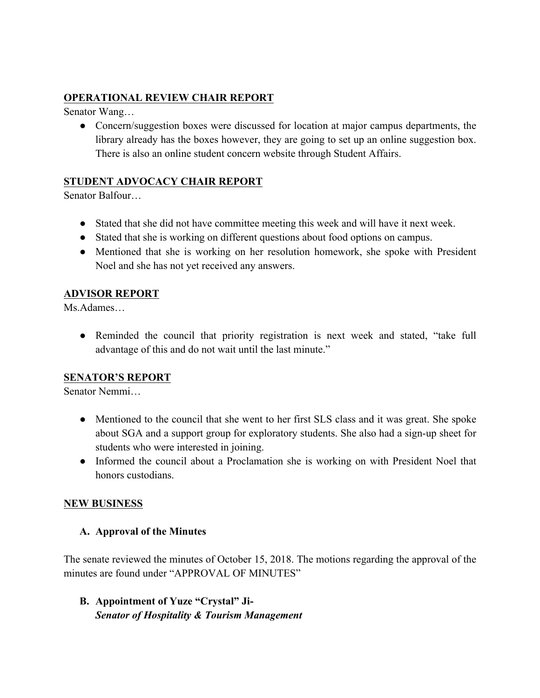## **OPERATIONAL REVIEW CHAIR REPORT**

Senator Wang…

• Concern/suggestion boxes were discussed for location at major campus departments, the library already has the boxes however, they are going to set up an online suggestion box. There is also an online student concern website through Student Affairs.

## **STUDENT ADVOCACY CHAIR REPORT**

Senator Balfour…

- Stated that she did not have committee meeting this week and will have it next week.
- Stated that she is working on different questions about food options on campus.
- Mentioned that she is working on her resolution homework, she spoke with President Noel and she has not yet received any answers.

## **ADVISOR REPORT**

Ms.Adames…

• Reminded the council that priority registration is next week and stated, "take full advantage of this and do not wait until the last minute."

## **SENATOR'S REPORT**

Senator Nemmi…

- Mentioned to the council that she went to her first SLS class and it was great. She spoke about SGA and a support group for exploratory students. She also had a sign-up sheet for students who were interested in joining.
- Informed the council about a Proclamation she is working on with President Noel that honors custodians.

## **NEW BUSINESS**

## **A. Approval of the Minutes**

The senate reviewed the minutes of October 15, 2018. The motions regarding the approval of the minutes are found under "APPROVAL OF MINUTES"

**B. Appointment of Yuze "Crystal" Ji-***Senator of Hospitality & Tourism Management*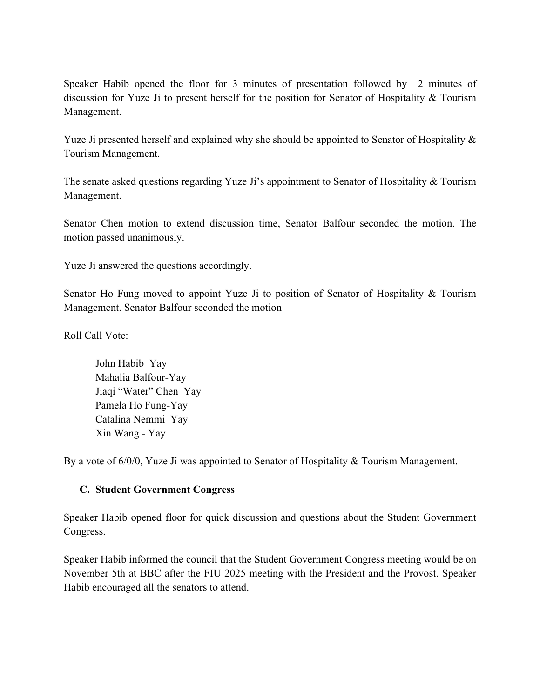Speaker Habib opened the floor for 3 minutes of presentation followed by 2 minutes of discussion for Yuze Ji to present herself for the position for Senator of Hospitality & Tourism Management.

Yuze Ji presented herself and explained why she should be appointed to Senator of Hospitality  $\&$ Tourism Management.

The senate asked questions regarding Yuze Ji's appointment to Senator of Hospitality & Tourism Management.

Senator Chen motion to extend discussion time, Senator Balfour seconded the motion. The motion passed unanimously.

Yuze Ji answered the questions accordingly.

Senator Ho Fung moved to appoint Yuze Ji to position of Senator of Hospitality & Tourism Management. Senator Balfour seconded the motion

Roll Call Vote:

John Habib–Yay Mahalia Balfour-Yay Jiaqi "Water" Chen–Yay Pamela Ho Fung-Yay Catalina Nemmi–Yay Xin Wang - Yay

By a vote of 6/0/0, Yuze Ji was appointed to Senator of Hospitality & Tourism Management.

#### **C. Student Government Congress**

Speaker Habib opened floor for quick discussion and questions about the Student Government Congress.

Speaker Habib informed the council that the Student Government Congress meeting would be on November 5th at BBC after the FIU 2025 meeting with the President and the Provost. Speaker Habib encouraged all the senators to attend.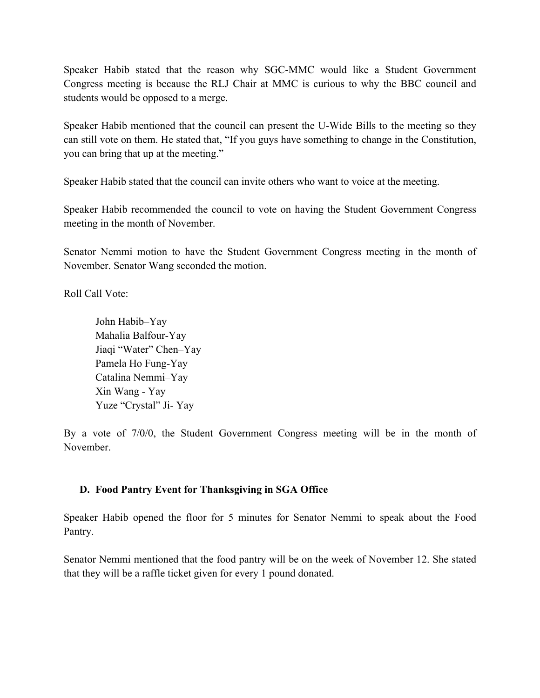Speaker Habib stated that the reason why SGC-MMC would like a Student Government Congress meeting is because the RLJ Chair at MMC is curious to why the BBC council and students would be opposed to a merge.

Speaker Habib mentioned that the council can present the U-Wide Bills to the meeting so they can still vote on them. He stated that, "If you guys have something to change in the Constitution, you can bring that up at the meeting."

Speaker Habib stated that the council can invite others who want to voice at the meeting.

Speaker Habib recommended the council to vote on having the Student Government Congress meeting in the month of November.

Senator Nemmi motion to have the Student Government Congress meeting in the month of November. Senator Wang seconded the motion.

Roll Call Vote:

John Habib–Yay Mahalia Balfour-Yay Jiaqi "Water" Chen–Yay Pamela Ho Fung-Yay Catalina Nemmi–Yay Xin Wang - Yay Yuze "Crystal" Ji- Yay

By a vote of 7/0/0, the Student Government Congress meeting will be in the month of November.

## **D. Food Pantry Event for Thanksgiving in SGA Office**

Speaker Habib opened the floor for 5 minutes for Senator Nemmi to speak about the Food Pantry.

Senator Nemmi mentioned that the food pantry will be on the week of November 12. She stated that they will be a raffle ticket given for every 1 pound donated.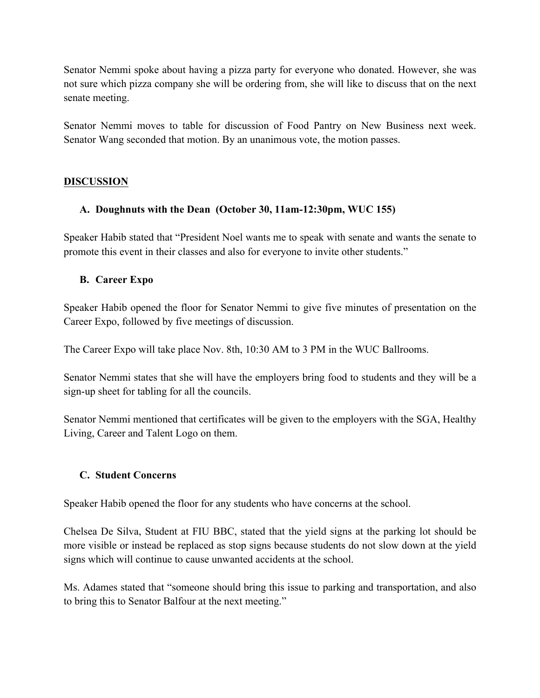Senator Nemmi spoke about having a pizza party for everyone who donated. However, she was not sure which pizza company she will be ordering from, she will like to discuss that on the next senate meeting.

Senator Nemmi moves to table for discussion of Food Pantry on New Business next week. Senator Wang seconded that motion. By an unanimous vote, the motion passes.

#### **DISCUSSION**

#### **A. Doughnuts with the Dean (October 30, 11am-12:30pm, WUC 155)**

Speaker Habib stated that "President Noel wants me to speak with senate and wants the senate to promote this event in their classes and also for everyone to invite other students."

#### **B. Career Expo**

Speaker Habib opened the floor for Senator Nemmi to give five minutes of presentation on the Career Expo, followed by five meetings of discussion.

The Career Expo will take place Nov. 8th, 10:30 AM to 3 PM in the WUC Ballrooms.

Senator Nemmi states that she will have the employers bring food to students and they will be a sign-up sheet for tabling for all the councils.

Senator Nemmi mentioned that certificates will be given to the employers with the SGA, Healthy Living, Career and Talent Logo on them.

#### **C. Student Concerns**

Speaker Habib opened the floor for any students who have concerns at the school.

Chelsea De Silva, Student at FIU BBC, stated that the yield signs at the parking lot should be more visible or instead be replaced as stop signs because students do not slow down at the yield signs which will continue to cause unwanted accidents at the school.

Ms. Adames stated that "someone should bring this issue to parking and transportation, and also to bring this to Senator Balfour at the next meeting."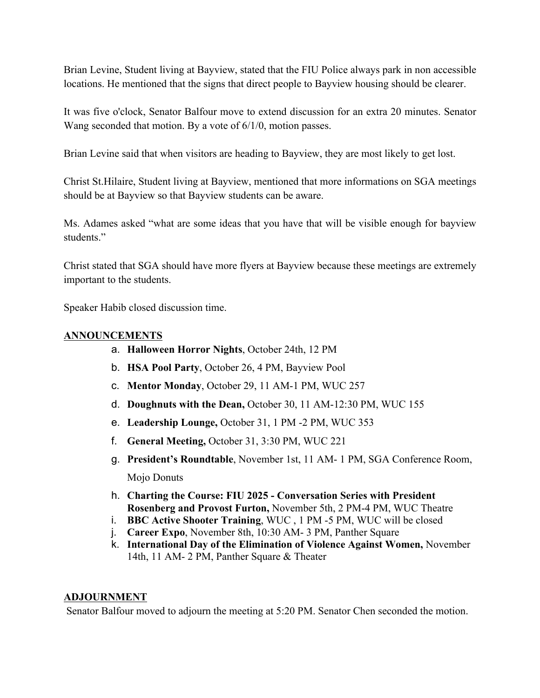Brian Levine, Student living at Bayview, stated that the FIU Police always park in non accessible locations. He mentioned that the signs that direct people to Bayview housing should be clearer.

It was five o'clock, Senator Balfour move to extend discussion for an extra 20 minutes. Senator Wang seconded that motion. By a vote of 6/1/0, motion passes.

Brian Levine said that when visitors are heading to Bayview, they are most likely to get lost.

Christ St.Hilaire, Student living at Bayview, mentioned that more informations on SGA meetings should be at Bayview so that Bayview students can be aware.

Ms. Adames asked "what are some ideas that you have that will be visible enough for bayview students."

Christ stated that SGA should have more flyers at Bayview because these meetings are extremely important to the students.

Speaker Habib closed discussion time.

#### **ANNOUNCEMENTS**

- a. **Halloween Horror Nights**, October 24th, 12 PM
- b. **HSA Pool Party**, October 26, 4 PM, Bayview Pool
- c. **Mentor Monday**, October 29, 11 AM-1 PM, WUC 257
- d. **Doughnuts with the Dean,** October 30, 11 AM-12:30 PM, WUC 155
- e. **Leadership Lounge,** October 31, 1 PM -2 PM, WUC 353
- f. **General Meeting,** October 31, 3:30 PM, WUC 221
- g. **President's Roundtable**, November 1st, 11 AM- 1 PM, SGA Conference Room, Mojo Donuts
- h. **Charting the Course: FIU 2025 - Conversation Series with President Rosenberg and Provost Furton,** November 5th, 2 PM-4 PM, WUC Theatre
- i. **BBC Active Shooter Training**, WUC , 1 PM -5 PM, WUC will be closed
- j. **Career Expo**, November 8th, 10:30 AM- 3 PM, Panther Square
- k. **International Day of the Elimination of Violence Against Women,** November 14th, 11 AM- 2 PM, Panther Square & Theater

#### **ADJOURNMENT**

Senator Balfour moved to adjourn the meeting at 5:20 PM. Senator Chen seconded the motion.